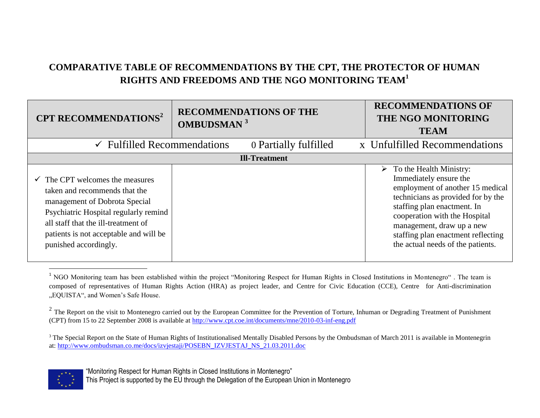## **COMPARATIVE TABLE OF RECOMMENDATIONS BY THE CPT, THE PROTECTOR OF HUMAN RIGHTS AND FREEDOMS AND THE NGO MONITORING TEAM<sup>1</sup>**

| CPT RECOMMENDATIONS <sup>2</sup>                                                                                                                                                                                                                                | <b>RECOMMENDATIONS OF THE</b><br><b>OMBUDSMAN</b> <sup>3</sup> |                       | <b>RECOMMENDATIONS OF</b><br>THE NGO MONITORING<br><b>TEAM</b>                                                                                                                                                                                                                                                          |
|-----------------------------------------------------------------------------------------------------------------------------------------------------------------------------------------------------------------------------------------------------------------|----------------------------------------------------------------|-----------------------|-------------------------------------------------------------------------------------------------------------------------------------------------------------------------------------------------------------------------------------------------------------------------------------------------------------------------|
| $\checkmark$ Fulfilled Recommendations                                                                                                                                                                                                                          |                                                                | 0 Partially fulfilled | x Unfulfilled Recommendations                                                                                                                                                                                                                                                                                           |
|                                                                                                                                                                                                                                                                 |                                                                | <b>Ill-Treatment</b>  |                                                                                                                                                                                                                                                                                                                         |
| $\checkmark$ The CPT welcomes the measures<br>taken and recommends that the<br>management of Dobrota Special<br>Psychiatric Hospital regularly remind<br>all staff that the ill-treatment of<br>patients is not acceptable and will be<br>punished accordingly. |                                                                |                       | To the Health Ministry:<br>$\triangleright$<br>Immediately ensure the<br>employment of another 15 medical<br>technicians as provided for by the<br>staffing plan enactment. In<br>cooperation with the Hospital<br>management, draw up a new<br>staffing plan enactment reflecting<br>the actual needs of the patients. |

<sup>&</sup>lt;sup>3</sup> The Special Report on the State of Human Rights of Institutionalised Mentally Disabled Persons by the Ombudsman of March 2011 is available in Montenegrin at: [http://www.ombudsman.co.me/docs/izvjestaji/POSEBN\\_IZVJESTAJ\\_NS\\_21.03.2011.doc](http://www.ombudsman.co.me/docs/izvjestaji/POSEBN_IZVJESTAJ_NS_21.03.2011.doc)



 $\overline{a}$ 

"Monitoring Respect for Human Rights in Closed Institutions in Montenegro"

This Project is supported by the EU through the Delegation of the European Union in Montenegro

<sup>&</sup>lt;sup>1</sup> NGO Monitoring team has been established within the project "Monitoring Respect for Human Rights in Closed Institutions in Montenegro". The team is composed of representatives of Human Rights Action (HRA) as project leader, and Centre for Civic Education (CCE), Centre for Anti-discrimination "EQUISTA", and Women's Safe House.

 $2$  The Report on the visit to Montenegro carried out by the European Committee for the Prevention of Torture, Inhuman or Degrading Treatment of Punishment (CPT) from 15 to 22 September 2008 is available at<http://www.cpt.coe.int/documents/mne/2010-03-inf-eng.pdf>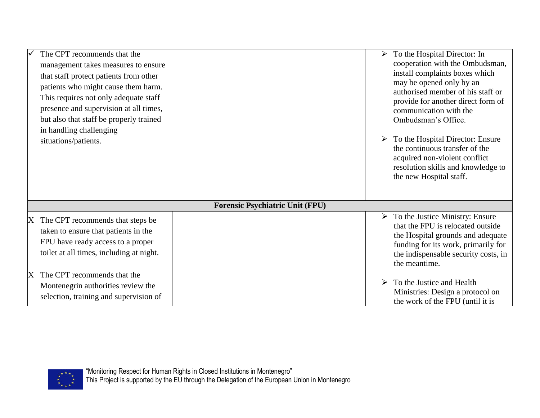| The CPT recommends that the<br>management takes measures to ensure                                                                                               |                                        | $\triangleright$ To the Hospital Director: In<br>cooperation with the Ombudsman,                                                                                                                                           |
|------------------------------------------------------------------------------------------------------------------------------------------------------------------|----------------------------------------|----------------------------------------------------------------------------------------------------------------------------------------------------------------------------------------------------------------------------|
| that staff protect patients from other<br>patients who might cause them harm.<br>This requires not only adequate staff<br>presence and supervision at all times, |                                        | install complaints boxes which<br>may be opened only by an<br>authorised member of his staff or<br>provide for another direct form of                                                                                      |
| but also that staff be properly trained<br>in handling challenging                                                                                               |                                        | communication with the<br>Ombudsman's Office.                                                                                                                                                                              |
| situations/patients.                                                                                                                                             |                                        | To the Hospital Director: Ensure<br>the continuous transfer of the<br>acquired non-violent conflict<br>resolution skills and knowledge to<br>the new Hospital staff.                                                       |
|                                                                                                                                                                  | <b>Forensic Psychiatric Unit (FPU)</b> |                                                                                                                                                                                                                            |
| X The CPT recommends that steps be<br>taken to ensure that patients in the<br>FPU have ready access to a proper<br>toilet at all times, including at night.      |                                        | $\triangleright$ To the Justice Ministry: Ensure<br>that the FPU is relocated outside<br>the Hospital grounds and adequate<br>funding for its work, primarily for<br>the indispensable security costs, in<br>the meantime. |
| The CPT recommends that the<br>Montenegrin authorities review the<br>selection, training and supervision of                                                      |                                        | To the Justice and Health<br>Ministries: Design a protocol on<br>the work of the FPU (until it is                                                                                                                          |

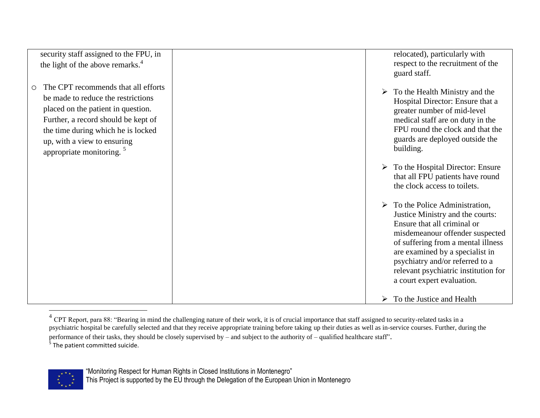| security staff assigned to the FPU, in<br>the light of the above remarks. <sup>4</sup>                                                                                                                                                                                            | relocated), particularly with<br>respect to the recruitment of the<br>guard staff.                                                                                                                                                                                                                                         |
|-----------------------------------------------------------------------------------------------------------------------------------------------------------------------------------------------------------------------------------------------------------------------------------|----------------------------------------------------------------------------------------------------------------------------------------------------------------------------------------------------------------------------------------------------------------------------------------------------------------------------|
| The CPT recommends that all efforts<br>$\bigcirc$<br>be made to reduce the restrictions<br>placed on the patient in question.<br>Further, a record should be kept of<br>the time during which he is locked<br>up, with a view to ensuring<br>appropriate monitoring. <sup>5</sup> | $\triangleright$ To the Health Ministry and the<br>Hospital Director: Ensure that a<br>greater number of mid-level<br>medical staff are on duty in the<br>FPU round the clock and that the<br>guards are deployed outside the<br>building.                                                                                 |
|                                                                                                                                                                                                                                                                                   | $\triangleright$ To the Hospital Director: Ensure<br>that all FPU patients have round<br>the clock access to toilets.                                                                                                                                                                                                      |
|                                                                                                                                                                                                                                                                                   | To the Police Administration,<br>➤<br>Justice Ministry and the courts:<br>Ensure that all criminal or<br>misdemeanour offender suspected<br>of suffering from a mental illness<br>are examined by a specialist in<br>psychiatry and/or referred to a<br>relevant psychiatric institution for<br>a court expert evaluation. |
|                                                                                                                                                                                                                                                                                   | To the Justice and Health<br>➤                                                                                                                                                                                                                                                                                             |

<sup>&</sup>lt;sup>4</sup> CPT Report, para 88: "Bearing in mind the challenging nature of their work, it is of crucial importance that staff assigned to security-related tasks in a psychiatric hospital be carefully selected and that they receive appropriate training before taking up their duties as well as in-service courses. Further, during the performance of their tasks, they should be closely supervised by – and subject to the authority of – qualified healthcare staff". <sup>5</sup> The patient committed suicide.



"Monitoring Respect for Human Rights in Closed Institutions in Montenegro"

This Project is supported by the EU through the Delegation of the European Union in Montenegro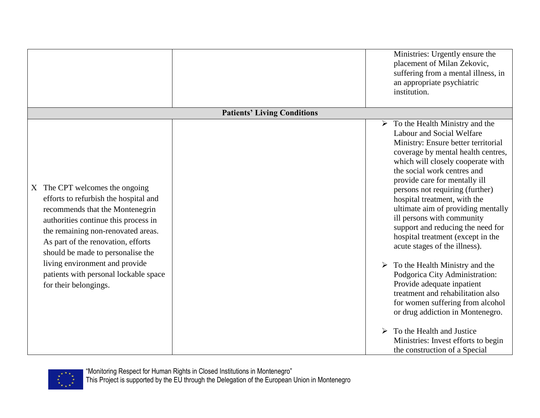|                                                                                                                                                                                                                                                                                                                                                                         |                                    | Ministries: Urgently ensure the<br>placement of Milan Zekovic,<br>suffering from a mental illness, in<br>an appropriate psychiatric<br>institution.                                                                                                                                                                                                                                                                                                                                                                                                                                                                                                                                                                                              |
|-------------------------------------------------------------------------------------------------------------------------------------------------------------------------------------------------------------------------------------------------------------------------------------------------------------------------------------------------------------------------|------------------------------------|--------------------------------------------------------------------------------------------------------------------------------------------------------------------------------------------------------------------------------------------------------------------------------------------------------------------------------------------------------------------------------------------------------------------------------------------------------------------------------------------------------------------------------------------------------------------------------------------------------------------------------------------------------------------------------------------------------------------------------------------------|
|                                                                                                                                                                                                                                                                                                                                                                         | <b>Patients' Living Conditions</b> |                                                                                                                                                                                                                                                                                                                                                                                                                                                                                                                                                                                                                                                                                                                                                  |
| X The CPT welcomes the ongoing<br>efforts to refurbish the hospital and<br>recommends that the Montenegrin<br>authorities continue this process in<br>the remaining non-renovated areas.<br>As part of the renovation, efforts<br>should be made to personalise the<br>living environment and provide<br>patients with personal lockable space<br>for their belongings. |                                    | $\triangleright$ To the Health Ministry and the<br>Labour and Social Welfare<br>Ministry: Ensure better territorial<br>coverage by mental health centres,<br>which will closely cooperate with<br>the social work centres and<br>provide care for mentally ill<br>persons not requiring (further)<br>hospital treatment, with the<br>ultimate aim of providing mentally<br>ill persons with community<br>support and reducing the need for<br>hospital treatment (except in the<br>acute stages of the illness).<br>$\triangleright$ To the Health Ministry and the<br>Podgorica City Administration:<br>Provide adequate inpatient<br>treatment and rehabilitation also<br>for women suffering from alcohol<br>or drug addiction in Montenegro. |
|                                                                                                                                                                                                                                                                                                                                                                         |                                    | To the Health and Justice<br>Ministries: Invest efforts to begin<br>the construction of a Special                                                                                                                                                                                                                                                                                                                                                                                                                                                                                                                                                                                                                                                |

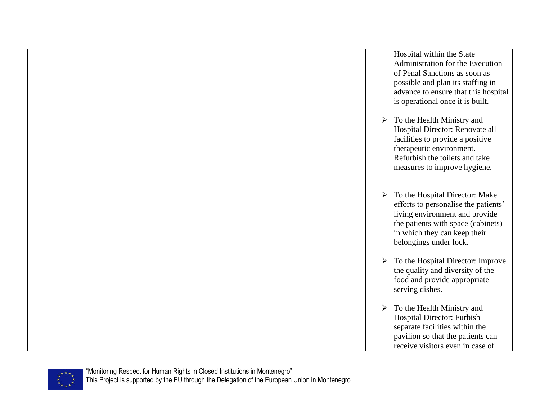|  | Hospital within the State<br>Administration for the Execution<br>of Penal Sanctions as soon as<br>possible and plan its staffing in<br>advance to ensure that this hospital<br>is operational once it is built.           |
|--|---------------------------------------------------------------------------------------------------------------------------------------------------------------------------------------------------------------------------|
|  | To the Health Ministry and<br>$\blacktriangleright$<br>Hospital Director: Renovate all<br>facilities to provide a positive<br>therapeutic environment.<br>Refurbish the toilets and take<br>measures to improve hygiene.  |
|  | $\triangleright$ To the Hospital Director: Make<br>efforts to personalise the patients'<br>living environment and provide<br>the patients with space (cabinets)<br>in which they can keep their<br>belongings under lock. |
|  | $\triangleright$ To the Hospital Director: Improve<br>the quality and diversity of the<br>food and provide appropriate<br>serving dishes.                                                                                 |
|  | $\triangleright$ To the Health Ministry and<br>Hospital Director: Furbish<br>separate facilities within the<br>pavilion so that the patients can<br>receive visitors even in case of                                      |

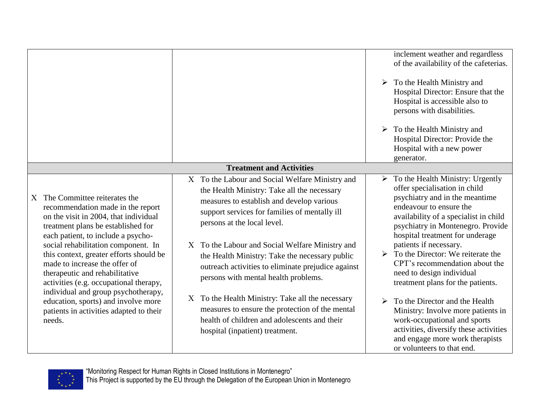|                                                                                                                                                                                                                                                                                                                                                                                         |   |                                                                                                                                                                                                                                                                                                                                                                                                                              |                       | inclement weather and regardless<br>of the availability of the cafeterias.                                                                                                                                                                                                                                                                                                                                                                           |
|-----------------------------------------------------------------------------------------------------------------------------------------------------------------------------------------------------------------------------------------------------------------------------------------------------------------------------------------------------------------------------------------|---|------------------------------------------------------------------------------------------------------------------------------------------------------------------------------------------------------------------------------------------------------------------------------------------------------------------------------------------------------------------------------------------------------------------------------|-----------------------|------------------------------------------------------------------------------------------------------------------------------------------------------------------------------------------------------------------------------------------------------------------------------------------------------------------------------------------------------------------------------------------------------------------------------------------------------|
|                                                                                                                                                                                                                                                                                                                                                                                         |   |                                                                                                                                                                                                                                                                                                                                                                                                                              | $\blacktriangleright$ | To the Health Ministry and<br>Hospital Director: Ensure that the<br>Hospital is accessible also to<br>persons with disabilities.                                                                                                                                                                                                                                                                                                                     |
|                                                                                                                                                                                                                                                                                                                                                                                         |   |                                                                                                                                                                                                                                                                                                                                                                                                                              |                       | $\triangleright$ To the Health Ministry and<br>Hospital Director: Provide the<br>Hospital with a new power<br>generator.                                                                                                                                                                                                                                                                                                                             |
|                                                                                                                                                                                                                                                                                                                                                                                         |   | <b>Treatment and Activities</b>                                                                                                                                                                                                                                                                                                                                                                                              |                       |                                                                                                                                                                                                                                                                                                                                                                                                                                                      |
| X The Committee reiterates the<br>recommendation made in the report<br>on the visit in 2004, that individual<br>treatment plans be established for<br>each patient, to include a psycho-<br>social rehabilitation component. In<br>this context, greater efforts should be<br>made to increase the offer of<br>therapeutic and rehabilitative<br>activities (e.g. occupational therapy, | X | X To the Labour and Social Welfare Ministry and<br>the Health Ministry: Take all the necessary<br>measures to establish and develop various<br>support services for families of mentally ill<br>persons at the local level.<br>To the Labour and Social Welfare Ministry and<br>the Health Ministry: Take the necessary public<br>outreach activities to eliminate prejudice against<br>persons with mental health problems. |                       | $\triangleright$ To the Health Ministry: Urgently<br>offer specialisation in child<br>psychiatry and in the meantime<br>endeavour to ensure the<br>availability of a specialist in child<br>psychiatry in Montenegro. Provide<br>hospital treatment for underage<br>patients if necessary.<br>$\triangleright$ To the Director: We reiterate the<br>CPT's recommendation about the<br>need to design individual<br>treatment plans for the patients. |
| individual and group psychotherapy,<br>education, sports) and involve more<br>patients in activities adapted to their<br>needs.                                                                                                                                                                                                                                                         |   | X To the Health Ministry: Take all the necessary<br>measures to ensure the protection of the mental<br>health of children and adolescents and their<br>hospital (inpatient) treatment.                                                                                                                                                                                                                                       | $\blacktriangleright$ | To the Director and the Health<br>Ministry: Involve more patients in<br>work-occupational and sports<br>activities, diversify these activities<br>and engage more work therapists<br>or volunteers to that end.                                                                                                                                                                                                                                      |

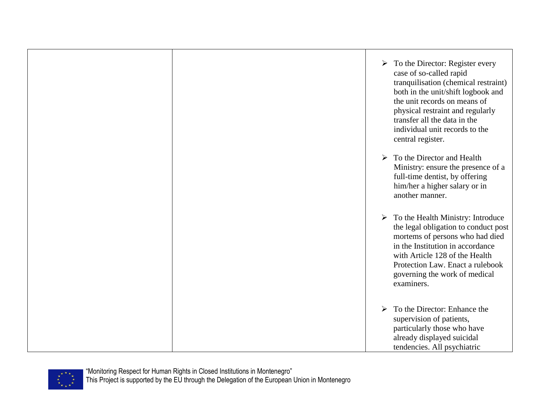$\triangleright$  To the Director: Register every case of so-called rapid tranquilisation (chemical restraint) both in the unit/shift logbook and the unit records on means of physical restraint and regularly transfer all the data in the individual unit records to the central register.  $\triangleright$  To the Director and Health Ministry: ensure the presence of a full-time dentist, by offering him/her a higher salary or in another manner.  $\triangleright$  To the Health Ministry: Introduce the legal obligation to conduct post mortems of persons who had died in the Institution in accordance with Article 128 of the Health Protection Law. Enact a rulebook governing the work of medical examiners.  $\triangleright$  To the Director: Enhance the supervision of patients, particularly those who have already displayed suicidal tendencies. All psychiatric

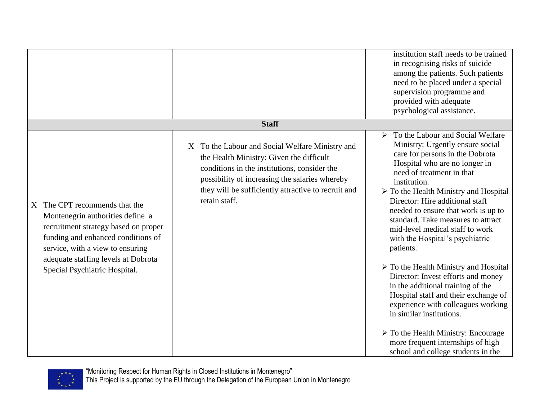|                                                                                                                                                                                                                                                             |                                                                                                                                                                                                                                                                       | institution staff needs to be trained<br>in recognising risks of suicide<br>among the patients. Such patients<br>need to be placed under a special<br>supervision programme and<br>provided with adequate<br>psychological assistance.                                                                                                                                                                                                                                                                                                                                                                                                                                                                                                                                                                                           |
|-------------------------------------------------------------------------------------------------------------------------------------------------------------------------------------------------------------------------------------------------------------|-----------------------------------------------------------------------------------------------------------------------------------------------------------------------------------------------------------------------------------------------------------------------|----------------------------------------------------------------------------------------------------------------------------------------------------------------------------------------------------------------------------------------------------------------------------------------------------------------------------------------------------------------------------------------------------------------------------------------------------------------------------------------------------------------------------------------------------------------------------------------------------------------------------------------------------------------------------------------------------------------------------------------------------------------------------------------------------------------------------------|
|                                                                                                                                                                                                                                                             | <b>Staff</b>                                                                                                                                                                                                                                                          |                                                                                                                                                                                                                                                                                                                                                                                                                                                                                                                                                                                                                                                                                                                                                                                                                                  |
| X The CPT recommends that the<br>Montenegrin authorities define a<br>recruitment strategy based on proper<br>funding and enhanced conditions of<br>service, with a view to ensuring<br>adequate staffing levels at Dobrota<br>Special Psychiatric Hospital. | X To the Labour and Social Welfare Ministry and<br>the Health Ministry: Given the difficult<br>conditions in the institutions, consider the<br>possibility of increasing the salaries whereby<br>they will be sufficiently attractive to recruit and<br>retain staff. | $\triangleright$ To the Labour and Social Welfare<br>Ministry: Urgently ensure social<br>care for persons in the Dobrota<br>Hospital who are no longer in<br>need of treatment in that<br>institution.<br>> To the Health Ministry and Hospital<br>Director: Hire additional staff<br>needed to ensure that work is up to<br>standard. Take measures to attract<br>mid-level medical staff to work<br>with the Hospital's psychiatric<br>patients.<br>$\triangleright$ To the Health Ministry and Hospital<br>Director: Invest efforts and money<br>in the additional training of the<br>Hospital staff and their exchange of<br>experience with colleagues working<br>in similar institutions.<br>$\triangleright$ To the Health Ministry: Encourage<br>more frequent internships of high<br>school and college students in the |

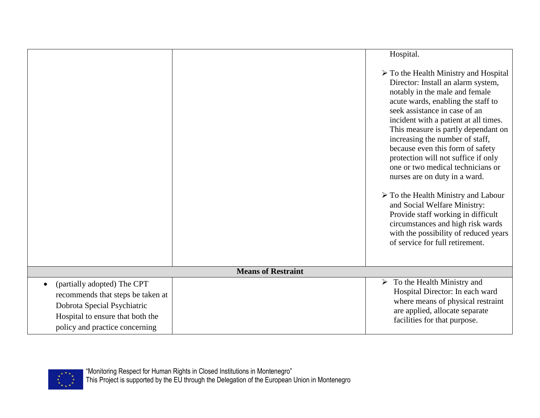|                                                                                                                                                                                    |                           | Hospital.                                                                                                                                                                                                                                                                                                                                                                                                                                                                                                                                                                                                                                                                                                            |
|------------------------------------------------------------------------------------------------------------------------------------------------------------------------------------|---------------------------|----------------------------------------------------------------------------------------------------------------------------------------------------------------------------------------------------------------------------------------------------------------------------------------------------------------------------------------------------------------------------------------------------------------------------------------------------------------------------------------------------------------------------------------------------------------------------------------------------------------------------------------------------------------------------------------------------------------------|
|                                                                                                                                                                                    |                           | $\triangleright$ To the Health Ministry and Hospital<br>Director: Install an alarm system,<br>notably in the male and female<br>acute wards, enabling the staff to<br>seek assistance in case of an<br>incident with a patient at all times.<br>This measure is partly dependant on<br>increasing the number of staff,<br>because even this form of safety<br>protection will not suffice if only<br>one or two medical technicians or<br>nurses are on duty in a ward.<br>$\triangleright$ To the Health Ministry and Labour<br>and Social Welfare Ministry:<br>Provide staff working in difficult<br>circumstances and high risk wards<br>with the possibility of reduced years<br>of service for full retirement. |
|                                                                                                                                                                                    | <b>Means of Restraint</b> |                                                                                                                                                                                                                                                                                                                                                                                                                                                                                                                                                                                                                                                                                                                      |
| (partially adopted) The CPT<br>$\bullet$<br>recommends that steps be taken at<br>Dobrota Special Psychiatric<br>Hospital to ensure that both the<br>policy and practice concerning |                           | $\triangleright$ To the Health Ministry and<br>Hospital Director: In each ward<br>where means of physical restraint<br>are applied, allocate separate<br>facilities for that purpose.                                                                                                                                                                                                                                                                                                                                                                                                                                                                                                                                |

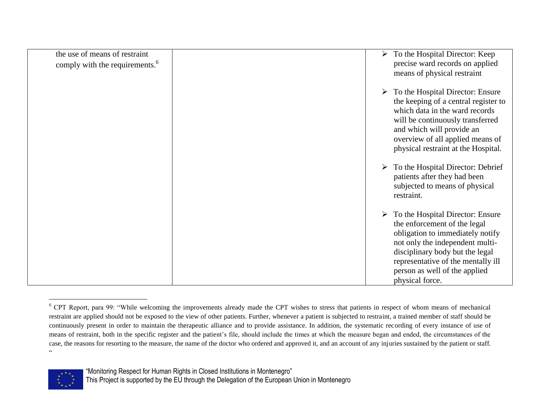| the use of means of restraint<br>comply with the requirements. <sup>6</sup> | ➤ | To the Hospital Director: Keep<br>precise ward records on applied<br>means of physical restraint                                                                                                                                                                                                             |
|-----------------------------------------------------------------------------|---|--------------------------------------------------------------------------------------------------------------------------------------------------------------------------------------------------------------------------------------------------------------------------------------------------------------|
|                                                                             | ➤ | $\triangleright$ To the Hospital Director: Ensure<br>the keeping of a central register to<br>which data in the ward records<br>will be continuously transferred<br>and which will provide an<br>overview of all applied means of<br>physical restraint at the Hospital.<br>To the Hospital Director: Debrief |
|                                                                             |   | patients after they had been<br>subjected to means of physical<br>restraint.                                                                                                                                                                                                                                 |
|                                                                             | ➤ | To the Hospital Director: Ensure<br>the enforcement of the legal<br>obligation to immediately notify<br>not only the independent multi-<br>disciplinary body but the legal<br>representative of the mentally ill<br>person as well of the applied<br>physical force.                                         |

<sup>&</sup>lt;sup>6</sup> CPT Report, para 99: "While welcoming the improvements already made the CPT wishes to stress that patients in respect of whom means of mechanical restraint are applied should not be exposed to the view of other patients. Further, whenever a patient is subjected to restraint, a trained member of staff should be continuously present in order to maintain the therapeutic alliance and to provide assistance. In addition, the systematic recording of every instance of use of means of restraint, both in the specific register and the patient's file, should include the times at which the measure began and ended, the circumstances of the case, the reasons for resorting to the measure, the name of the doctor who ordered and approved it, and an account of any injuries sustained by the patient or staff.  $\epsilon$ 



 $\overline{a}$ 

<sup>&</sup>quot;Monitoring Respect for Human Rights in Closed Institutions in Montenegro"

This Project is supported by the EU through the Delegation of the European Union in Montenegro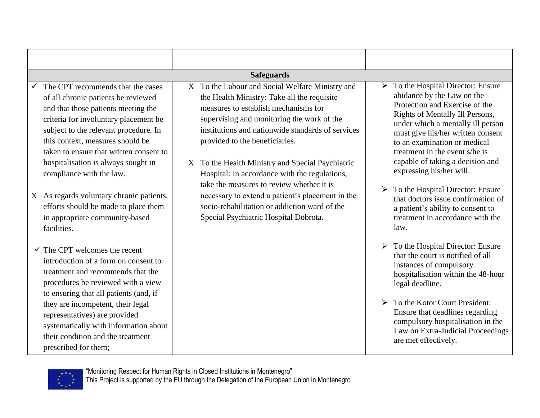|                                                                                                                                                                                                                                                                                                                                                                                   | <b>Safeguards</b>                                                                                                                                                                                                                                                                                                                                                                                                             |                       |                                                                                                                                                                                                                                                                                                                                                                   |  |
|-----------------------------------------------------------------------------------------------------------------------------------------------------------------------------------------------------------------------------------------------------------------------------------------------------------------------------------------------------------------------------------|-------------------------------------------------------------------------------------------------------------------------------------------------------------------------------------------------------------------------------------------------------------------------------------------------------------------------------------------------------------------------------------------------------------------------------|-----------------------|-------------------------------------------------------------------------------------------------------------------------------------------------------------------------------------------------------------------------------------------------------------------------------------------------------------------------------------------------------------------|--|
| The CPT recommends that the cases<br>of all chronic patients be reviewed<br>and that those patients meeting the<br>criteria for involuntary placement be<br>subject to the relevant procedure. In<br>this context, measures should be<br>taken to ensure that written consent to<br>hospitalisation is always sought in<br>compliance with the law.                               | X To the Labour and Social Welfare Ministry and<br>the Health Ministry: Take all the requisite<br>measures to establish mechanisms for<br>supervising and monitoring the work of the<br>institutions and nationwide standards of services<br>provided to the beneficiaries.<br>X To the Health Ministry and Special Psychiatric<br>Hospital: In accordance with the regulations,<br>take the measures to review whether it is |                       | $\triangleright$ To the Hospital Director: Ensure<br>abidance by the Law on the<br>Protection and Exercise of the<br>Rights of Mentally Ill Persons,<br>under which a mentally ill person<br>must give his/her written consent<br>to an examination or medical<br>treatment in the event s/he is<br>capable of taking a decision and<br>expressing his/her will.  |  |
| X As regards voluntary chronic patients,<br>efforts should be made to place them<br>in appropriate community-based<br>facilities.                                                                                                                                                                                                                                                 | necessary to extend a patient's placement in the<br>socio-rehabilitation or addiction ward of the<br>Special Psychiatric Hospital Dobrota.                                                                                                                                                                                                                                                                                    | $\blacktriangleright$ | To the Hospital Director: Ensure<br>that doctors issue confirmation of<br>a patient's ability to consent to<br>treatment in accordance with the<br>law.                                                                                                                                                                                                           |  |
| $\checkmark$ The CPT welcomes the recent<br>introduction of a form on consent to<br>treatment and recommends that the<br>procedures be reviewed with a view<br>to ensuring that all patients (and, if<br>they are incompetent, their legal<br>representatives) are provided<br>systematically with information about<br>their condition and the treatment<br>prescribed for them; |                                                                                                                                                                                                                                                                                                                                                                                                                               |                       | $\triangleright$ To the Hospital Director: Ensure<br>that the court is notified of all<br>instances of compulsory<br>hospitalisation within the 48-hour<br>legal deadline.<br>$\triangleright$ To the Kotor Court President:<br>Ensure that deadlines regarding<br>compulsory hospitalisation in the<br>Law on Extra-Judicial Proceedings<br>are met effectively. |  |

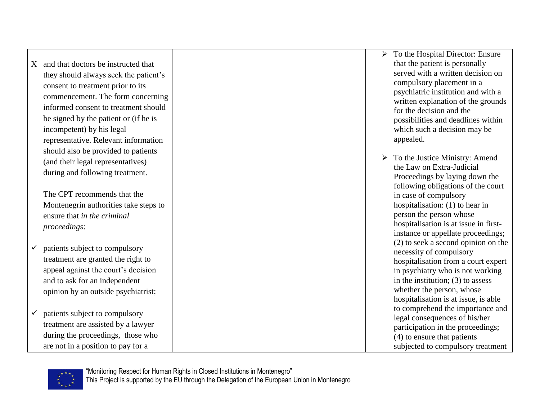and that doctors be instructed that they should always seek the patient's consent to treatment prior to its commencement. The form concerning informed consent to treatment should be signed by the patient or (if he is incompetent) by his legal representative. Relevant information should also be provided to patients (and their legal representatives) during and following treatment.

The CPT recommends that the Montenegrin authorities take steps to ensure that *in the criminal proceedings*:

- $\checkmark$  patients subject to compulsory treatment are granted the right to appeal against the court's decision and to ask for an independent opinion by an outside psychiatrist;
- $\checkmark$  patients subject to compulsory treatment are assisted by a lawyer during the proceedings, those who are not in a position to pay for a
- $\triangleright$  To the Hospital Director: Ensure that the patient is personally served with a written decision on compulsory placement in a psychiatric institution and with a written explanation of the grounds for the decision and the possibilities and deadlines within which such a decision may be appealed.
- $\triangleright$  To the Justice Ministry: Amend the Law on Extra-Judicial Proceedings by laying down the following obligations of the court in case of compulsory hospitalisation: (1) to hear in person the person whose hospitalisation is at issue in firstinstance or appellate proceedings; (2) to seek a second opinion on the necessity of compulsory hospitalisation from a court expert in psychiatry who is not working in the institution; (3) to assess whether the person, whose hospitalisation is at issue, is able to comprehend the importance and legal consequences of his/her participation in the proceedings; (4) to ensure that patients subjected to compulsory treatment

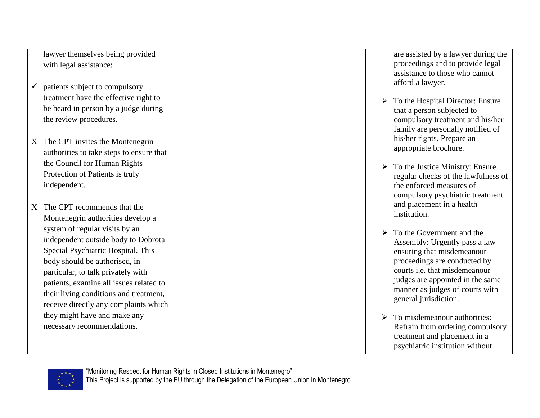lawyer themselves being provided with legal assistance;

- $\checkmark$  patients subject to compulsory treatment have the effective right to be heard in person by a judge during the review procedures.
- X The CPT invites the Montenegrin authorities to take steps to ensure that the Council for Human Rights Protection of Patients is truly independent.
- X The CPT recommends that the Montenegrin authorities develop a system of regular visits by an independent outside body to Dobrota Special Psychiatric Hospital. This body should be authorised, in particular, to talk privately with patients, examine all issues related to their living conditions and treatment, receive directly any complaints which they might have and make any necessary recommendations.

are assisted by a lawyer during the proceedings and to provide legal assistance to those who cannot afford a lawyer.

- $\triangleright$  To the Hospital Director: Ensure that a person subjected to compulsory treatment and his/her family are personally notified of his/her rights. Prepare an appropriate brochure.
- $\triangleright$  To the Justice Ministry: Ensure regular checks of the lawfulness of the enforced measures of compulsory psychiatric treatment and placement in a health institution.
- $\triangleright$  To the Government and the Assembly: Urgently pass a law ensuring that misdemeanour proceedings are conducted by courts i.e. that misdemeanour judges are appointed in the same manner as judges of courts with general jurisdiction.
- $\triangleright$  To misdemeanour authorities: Refrain from ordering compulsory treatment and placement in a psychiatric institution without

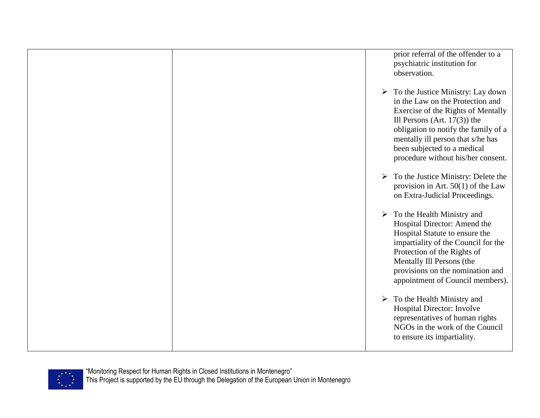prior referral of the offender to a psychiatric institution for observation.  $\triangleright$  To the Justice Ministry: Lay down in the Law on the Protection and Exercise of the Rights of Mentally Ill Persons (Art. 17(3)) the obligation to notify the family of a mentally ill person that s/he has been subjected to a medical procedure without his/her consent.  $\triangleright$  To the Justice Ministry: Delete the provision in Art. 50(1) of the Law on Extra-Judicial Proceedings.  $\triangleright$  To the Health Ministry and Hospital Director: Amend the Hospital Statute to ensure the impartiality of the Council for the Protection of the Rights of Mentally Ill Persons (the provisions on the nomination and appointment of Council members).  $\triangleright$  To the Health Ministry and Hospital Director: Involve representatives of human rights NGOs in the work of the Council to ensure its impartiality.

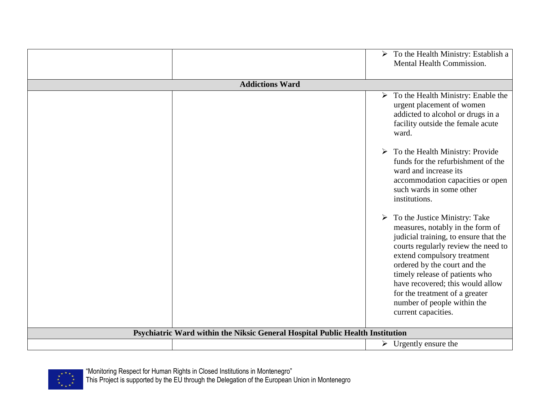|                                                                               | $\triangleright$ To the Health Ministry: Establish a<br>Mental Health Commission.                                                                                                                                                                                                                                                                                                               |
|-------------------------------------------------------------------------------|-------------------------------------------------------------------------------------------------------------------------------------------------------------------------------------------------------------------------------------------------------------------------------------------------------------------------------------------------------------------------------------------------|
| <b>Addictions Ward</b>                                                        |                                                                                                                                                                                                                                                                                                                                                                                                 |
|                                                                               | $\triangleright$ To the Health Ministry: Enable the<br>urgent placement of women<br>addicted to alcohol or drugs in a<br>facility outside the female acute<br>ward.<br>$\triangleright$ To the Health Ministry: Provide<br>funds for the refurbishment of the                                                                                                                                   |
|                                                                               | ward and increase its<br>accommodation capacities or open<br>such wards in some other<br>institutions.                                                                                                                                                                                                                                                                                          |
|                                                                               | $\triangleright$ To the Justice Ministry: Take<br>measures, notably in the form of<br>judicial training, to ensure that the<br>courts regularly review the need to<br>extend compulsory treatment<br>ordered by the court and the<br>timely release of patients who<br>have recovered; this would allow<br>for the treatment of a greater<br>number of people within the<br>current capacities. |
| Psychiatric Ward within the Niksic General Hospital Public Health Institution |                                                                                                                                                                                                                                                                                                                                                                                                 |
|                                                                               | $\triangleright$ Urgently ensure the                                                                                                                                                                                                                                                                                                                                                            |

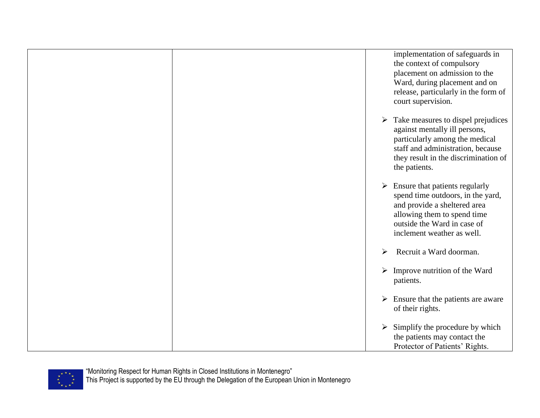|  | implementation of safeguards in<br>the context of compulsory<br>placement on admission to the<br>Ward, during placement and on<br>release, particularly in the form of<br>court supervision.                             |
|--|--------------------------------------------------------------------------------------------------------------------------------------------------------------------------------------------------------------------------|
|  | $\triangleright$ Take measures to dispel prejudices<br>against mentally ill persons,<br>particularly among the medical<br>staff and administration, because<br>they result in the discrimination of<br>the patients.     |
|  | Ensure that patients regularly<br>$\blacktriangleright$<br>spend time outdoors, in the yard,<br>and provide a sheltered area<br>allowing them to spend time<br>outside the Ward in case of<br>inclement weather as well. |
|  | Recruit a Ward doorman.<br>$\blacktriangleright$                                                                                                                                                                         |
|  | Improve nutrition of the Ward<br>$\blacktriangleright$<br>patients.                                                                                                                                                      |
|  | $\triangleright$ Ensure that the patients are aware<br>of their rights.                                                                                                                                                  |
|  | $\triangleright$ Simplify the procedure by which<br>the patients may contact the<br>Protector of Patients' Rights.                                                                                                       |

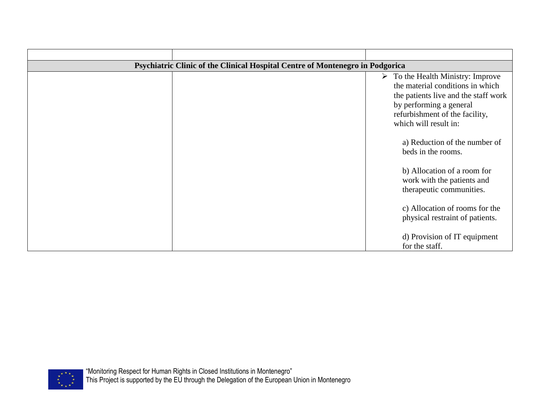| Psychiatric Clinic of the Clinical Hospital Centre of Montenegro in Podgorica |  |                                                                                                                                                                                                                    |
|-------------------------------------------------------------------------------|--|--------------------------------------------------------------------------------------------------------------------------------------------------------------------------------------------------------------------|
|                                                                               |  | $\triangleright$ To the Health Ministry: Improve<br>the material conditions in which<br>the patients live and the staff work<br>by performing a general<br>refurbishment of the facility,<br>which will result in: |
|                                                                               |  | a) Reduction of the number of<br>beds in the rooms.                                                                                                                                                                |
|                                                                               |  | b) Allocation of a room for<br>work with the patients and<br>therapeutic communities.                                                                                                                              |
|                                                                               |  | c) Allocation of rooms for the<br>physical restraint of patients.                                                                                                                                                  |
|                                                                               |  | d) Provision of IT equipment<br>for the staff.                                                                                                                                                                     |